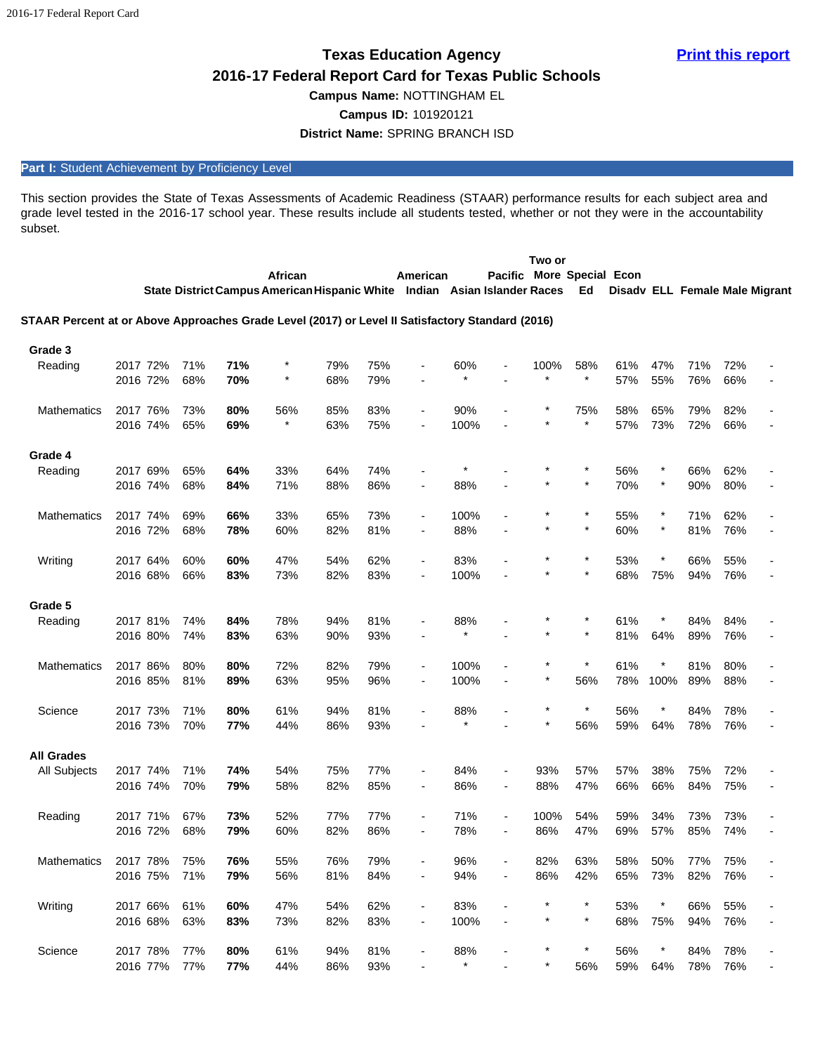# **2016-17 Federal Report Card for Texas Public Schools**

**Campus Name:** NOTTINGHAM EL

**Campus ID:** 101920121

**District Name:** SPRING BRANCH ISD

# Part I: Student Achievement by Proficiency Level

This section provides the State of Texas Assessments of Academic Readiness (STAAR) performance results for each subject area and grade level tested in the 2016-17 school year. These results include all students tested, whether or not they were in the accountability subset.

|                                                                                                  |                      |            |            |                                                                           |            |            |                                            |                |                                            | Two or      |                    |            |            |                                |            |  |
|--------------------------------------------------------------------------------------------------|----------------------|------------|------------|---------------------------------------------------------------------------|------------|------------|--------------------------------------------|----------------|--------------------------------------------|-------------|--------------------|------------|------------|--------------------------------|------------|--|
|                                                                                                  |                      |            |            | African                                                                   |            |            | American                                   |                | Pacific More Special Econ                  |             |                    |            |            |                                |            |  |
|                                                                                                  |                      |            |            | State District Campus American Hispanic White Indian Asian Islander Races |            |            |                                            |                |                                            |             | Ed                 |            |            | Disady ELL Female Male Migrant |            |  |
|                                                                                                  |                      |            |            |                                                                           |            |            |                                            |                |                                            |             |                    |            |            |                                |            |  |
| STAAR Percent at or Above Approaches Grade Level (2017) or Level II Satisfactory Standard (2016) |                      |            |            |                                                                           |            |            |                                            |                |                                            |             |                    |            |            |                                |            |  |
| Grade 3                                                                                          |                      |            |            |                                                                           |            |            |                                            |                |                                            |             |                    |            |            |                                |            |  |
| Reading                                                                                          | 2017 72%             | 71%        | 71%        |                                                                           | 79%        | 75%        |                                            | 60%            |                                            | 100%        | 58%                | 61%        | 47%        | 71%                            | 72%        |  |
|                                                                                                  | 2016 72%             | 68%        | 70%        | $\star$                                                                   | 68%        | 79%        |                                            |                |                                            |             | $\star$            | 57%        | 55%        | 76%                            | 66%        |  |
|                                                                                                  |                      |            |            |                                                                           |            |            |                                            |                |                                            |             |                    |            |            |                                |            |  |
| <b>Mathematics</b>                                                                               | 2017 76%<br>2016 74% | 73%<br>65% | 80%        | 56%                                                                       | 85%        | 83%<br>75% | L,                                         | 90%<br>100%    |                                            |             | 75%<br>$\star$     | 58%<br>57% | 65%<br>73% | 79%                            | 82%        |  |
|                                                                                                  |                      |            | 69%        |                                                                           | 63%        |            |                                            |                |                                            |             |                    |            |            | 72%                            | 66%        |  |
| Grade 4                                                                                          |                      |            |            |                                                                           |            |            |                                            |                |                                            |             |                    |            |            |                                |            |  |
| Reading                                                                                          | 2017 69%             | 65%        | 64%        | 33%                                                                       | 64%        | 74%        |                                            |                |                                            |             |                    | 56%        | $\ast$     | 66%                            | 62%        |  |
|                                                                                                  | 2016 74%             | 68%        | 84%        | 71%                                                                       | 88%        | 86%        |                                            | 88%            |                                            |             | $\star$            | 70%        | $\star$    | 90%                            | 80%        |  |
|                                                                                                  |                      |            |            |                                                                           |            |            |                                            |                |                                            |             | $\star$            |            | $\star$    |                                |            |  |
| <b>Mathematics</b>                                                                               | 2017 74%<br>2016 72% | 69%<br>68% | 66%<br>78% | 33%<br>60%                                                                | 65%<br>82% | 73%<br>81% | $\overline{a}$<br>$\overline{\phantom{0}}$ | 100%<br>88%    |                                            | $\star$     | $\star$            | 55%<br>60% | $\star$    | 71%<br>81%                     | 62%<br>76% |  |
|                                                                                                  |                      |            |            |                                                                           |            |            |                                            |                |                                            |             |                    |            |            |                                |            |  |
| Writing                                                                                          | 2017 64%             | 60%        | 60%        | 47%                                                                       | 54%        | 62%        | $\overline{a}$                             | 83%            |                                            |             | $\ast$             | 53%        |            | 66%                            | 55%        |  |
|                                                                                                  | 2016 68%             | 66%        | 83%        | 73%                                                                       | 82%        | 83%        | $\overline{a}$                             | 100%           |                                            |             |                    | 68%        | 75%        | 94%                            | 76%        |  |
|                                                                                                  |                      |            |            |                                                                           |            |            |                                            |                |                                            |             |                    |            |            |                                |            |  |
| Grade 5                                                                                          | 2017 81%             |            |            | 78%                                                                       |            | 81%        |                                            |                |                                            |             |                    |            |            | 84%                            |            |  |
| Reading                                                                                          | 2016 80%             | 74%<br>74% | 84%<br>83% | 63%                                                                       | 94%<br>90% | 93%        |                                            | 88%<br>$\star$ |                                            |             |                    | 61%<br>81% | 64%        | 89%                            | 84%<br>76% |  |
|                                                                                                  |                      |            |            |                                                                           |            |            |                                            |                |                                            |             |                    |            |            |                                |            |  |
| <b>Mathematics</b>                                                                               | 2017 86%             | 80%        | 80%        | 72%                                                                       | 82%        | 79%        |                                            | 100%           |                                            |             | $\ast$             | 61%        |            | 81%                            | 80%        |  |
|                                                                                                  | 2016 85%             | 81%        | 89%        | 63%                                                                       | 95%        | 96%        | $\overline{\phantom{a}}$                   | 100%           |                                            |             | 56%                | 78%        | 100%       | 89%                            | 88%        |  |
|                                                                                                  |                      |            |            |                                                                           |            |            |                                            |                |                                            |             | $\star$            |            |            |                                |            |  |
| Science                                                                                          | 2017 73%<br>2016 73% | 71%        | 80%<br>77% | 61%                                                                       | 94%        | 81%        |                                            | 88%<br>$\star$ |                                            |             | 56%                | 56%<br>59% | 64%        | 84%                            | 78%<br>76% |  |
|                                                                                                  |                      | 70%        |            | 44%                                                                       | 86%        | 93%        |                                            |                |                                            |             |                    |            |            | 78%                            |            |  |
| <b>All Grades</b>                                                                                |                      |            |            |                                                                           |            |            |                                            |                |                                            |             |                    |            |            |                                |            |  |
| <b>All Subjects</b>                                                                              | 2017 74%             | 71%        | 74%        | 54%                                                                       | 75%        | 77%        |                                            | 84%            |                                            | 93%         | 57%                | 57%        | 38%        | 75%                            | 72%        |  |
|                                                                                                  | 2016 74%             | 70%        | 79%        | 58%                                                                       | 82%        | 85%        | ۰                                          | 86%            | $\overline{\phantom{a}}$                   | 88%         | 47%                | 66%        | 66%        | 84%                            | 75%        |  |
|                                                                                                  |                      |            |            |                                                                           |            |            |                                            |                |                                            |             |                    |            |            |                                |            |  |
| Reading                                                                                          | 2017 71%<br>2016 72% | 67%<br>68% | 73%<br>79% | 52%<br>60%                                                                | 77%<br>82% | 77%<br>86% | ٠<br>$\blacksquare$                        | 71%<br>78%     | $\overline{\phantom{a}}$<br>$\overline{a}$ | 100%<br>86% | 54%<br>47%         | 59%<br>69% | 34%<br>57% | 73%<br>85%                     | 73%<br>74% |  |
|                                                                                                  |                      |            |            |                                                                           |            |            |                                            |                |                                            |             |                    |            |            |                                |            |  |
| <b>Mathematics</b>                                                                               | 2017 78%             | 75%        | 76%        | 55%                                                                       | 76%        | 79%        |                                            | 96%            |                                            | 82%         | 63%                | 58%        | 50%        | 77%                            | 75%        |  |
|                                                                                                  | 2016 75%             | 71%        | 79%        | 56%                                                                       | 81%        | 84%        |                                            | 94%            |                                            | 86%         | 42%                | 65%        | 73%        | 82%                            | 76%        |  |
|                                                                                                  |                      |            |            |                                                                           |            |            |                                            |                |                                            |             |                    |            |            |                                |            |  |
| Writing                                                                                          | 2017 66%             | 61%        | 60%        | 47%                                                                       | 54%        | 62%        | $\overline{\phantom{a}}$                   | 83%            |                                            | $\star$     | $\star$<br>$\star$ | 53%        | $\star$    | 66%                            | 55%        |  |
|                                                                                                  | 2016 68%             | 63%        | 83%        | 73%                                                                       | 82%        | 83%        | $\qquad \qquad \blacksquare$               | 100%           |                                            |             |                    | 68%        | 75%        | 94%                            | 76%        |  |
| Science                                                                                          | 2017 78%             | 77%        | 80%        | 61%                                                                       | 94%        | 81%        |                                            | 88%            |                                            |             | $\star$            | 56%        | $\star$    | 84%                            | 78%        |  |
|                                                                                                  | 2016 77%             | 77%        | 77%        | 44%                                                                       | 86%        | 93%        |                                            | $\star$        |                                            |             | 56%                | 59%        | 64%        | 78%                            | 76%        |  |
|                                                                                                  |                      |            |            |                                                                           |            |            |                                            |                |                                            |             |                    |            |            |                                |            |  |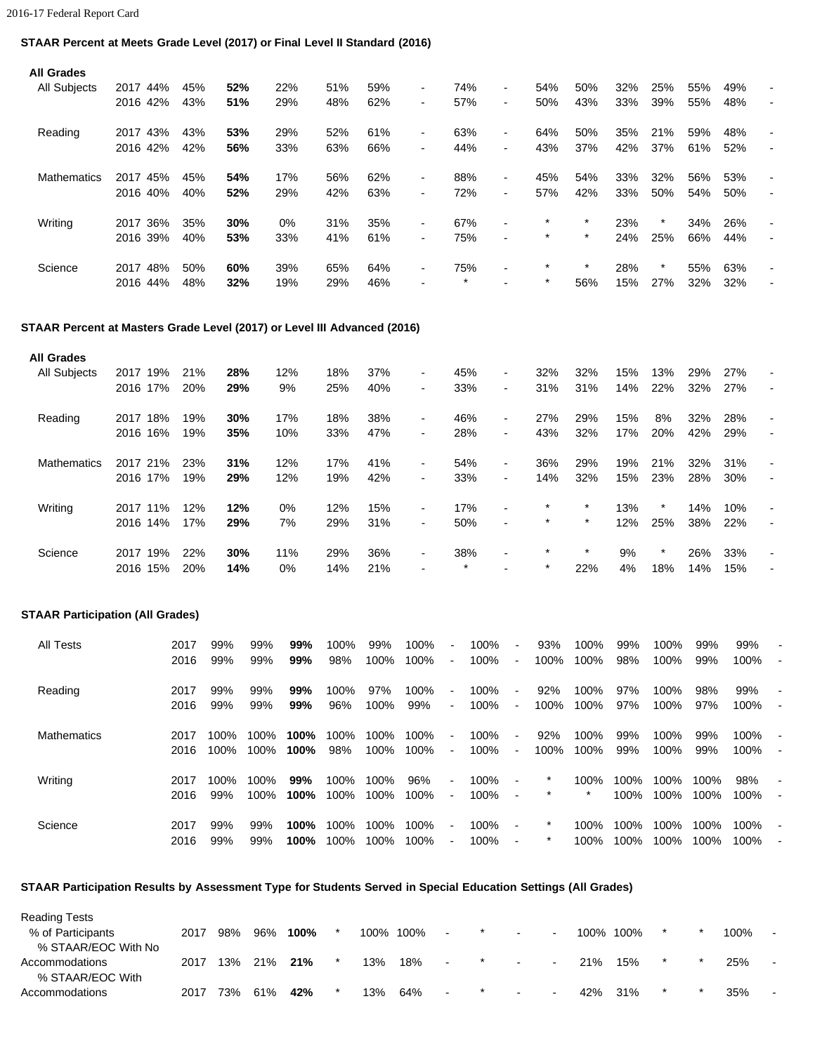## **STAAR Percent at Meets Grade Level (2017) or Final Level II Standard (2016)**

| <b>All Grades</b>  |             |     |     |     |     |     |                |         |                          |         |         |     |         |     |     |                          |
|--------------------|-------------|-----|-----|-----|-----|-----|----------------|---------|--------------------------|---------|---------|-----|---------|-----|-----|--------------------------|
| All Subjects       | 44%<br>2017 | 45% | 52% | 22% | 51% | 59% | $\blacksquare$ | 74%     | ۰.                       | 54%     | 50%     | 32% | 25%     | 55% | 49% |                          |
|                    | 2016 42%    | 43% | 51% | 29% | 48% | 62% | $\blacksquare$ | 57%     |                          | 50%     | 43%     | 33% | 39%     | 55% | 48% |                          |
| Reading            | 2017 43%    | 43% | 53% | 29% | 52% | 61% | $\blacksquare$ | 63%     | $\overline{\phantom{0}}$ | 64%     | 50%     | 35% | 21%     | 59% | 48% |                          |
|                    | 2016 42%    | 42% | 56% | 33% | 63% | 66% | $\blacksquare$ | 44%     | $\overline{\phantom{0}}$ | 43%     | 37%     | 42% | 37%     | 61% | 52% |                          |
| <b>Mathematics</b> | 2017<br>45% | 45% | 54% | 17% | 56% | 62% | $\blacksquare$ | 88%     |                          | 45%     | 54%     | 33% | 32%     | 56% | 53% |                          |
|                    | 2016 40%    | 40% | 52% | 29% | 42% | 63% | $\blacksquare$ | 72%     | $\overline{\phantom{0}}$ | 57%     | 42%     | 33% | 50%     | 54% | 50% |                          |
| Writing            | 36%<br>2017 | 35% | 30% | 0%  | 31% | 35% | $\blacksquare$ | 67%     | $\blacksquare$           | $\star$ | $\star$ | 23% | $\star$ | 34% | 26% | $\overline{\phantom{a}}$ |
|                    | 2016 39%    | 40% | 53% | 33% | 41% | 61% | $\blacksquare$ | 75%     | $\blacksquare$           | $\star$ | $\star$ | 24% | 25%     | 66% | 44% | $\overline{\phantom{a}}$ |
| Science            | 48%<br>2017 | 50% | 60% | 39% | 65% | 64% | ۰.             | 75%     | $\overline{\phantom{0}}$ | $\star$ | $\star$ | 28% | $\star$ | 55% | 63% |                          |
|                    | 2016 44%    | 48% | 32% | 19% | 29% | 46% |                | $\star$ |                          | $\star$ | 56%     | 15% | 27%     | 32% | 32% |                          |

## **STAAR Percent at Masters Grade Level (2017) or Level III Advanced (2016)**

| <b>All Grades</b>   |          |     |     |     |       |     |     |                          |         |                |         |         |     |         |     |     |                |
|---------------------|----------|-----|-----|-----|-------|-----|-----|--------------------------|---------|----------------|---------|---------|-----|---------|-----|-----|----------------|
| <b>All Subjects</b> | 2017     | 19% | 21% | 28% | 12%   | 18% | 37% | $\overline{\phantom{a}}$ | 45%     | $\blacksquare$ | 32%     | 32%     | 15% | 13%     | 29% | 27% |                |
|                     | 2016 17% |     | 20% | 29% | 9%    | 25% | 40% | $\blacksquare$           | 33%     | $\blacksquare$ | 31%     | 31%     | 14% | 22%     | 32% | 27% |                |
| Reading             | 2017 18% |     | 19% | 30% | 17%   | 18% | 38% | $\blacksquare$           | 46%     | $\blacksquare$ | 27%     | 29%     | 15% | 8%      | 32% | 28% |                |
|                     | 2016 16% |     | 19% | 35% | 10%   | 33% | 47% | $\overline{\phantom{a}}$ | 28%     | $\sim$         | 43%     | 32%     | 17% | 20%     | 42% | 29% | $\blacksquare$ |
| <b>Mathematics</b>  | 2017     | 21% | 23% | 31% | 12%   | 17% | 41% | $\overline{\phantom{a}}$ | 54%     | $\sim$         | 36%     | 29%     | 19% | 21%     | 32% | 31% |                |
|                     | 2016 17% |     | 19% | 29% | 12%   | 19% | 42% | $\blacksquare$           | 33%     | $\blacksquare$ | 14%     | 32%     | 15% | 23%     | 28% | 30% | $\blacksquare$ |
| Writing             | 2017 11% |     | 12% | 12% | $0\%$ | 12% | 15% | $\overline{\phantom{a}}$ | 17%     | $\blacksquare$ | $\star$ | $\star$ | 13% | $\star$ | 14% | 10% | $\blacksquare$ |
|                     | 2016 14% |     | 17% | 29% | 7%    | 29% | 31% | $\blacksquare$           | 50%     | $\blacksquare$ | $\star$ | $\star$ | 12% | 25%     | 38% | 22% | $\blacksquare$ |
| Science             | 2017     | 19% | 22% | 30% | 11%   | 29% | 36% | $\blacksquare$           | 38%     | $\blacksquare$ | $\star$ | $\star$ | 9%  | $\star$ | 26% | 33% | $\blacksquare$ |
|                     | 2016     | 15% | 20% | 14% | 0%    | 14% | 21% | $\overline{\phantom{a}}$ | $\star$ |                | $\star$ | 22%     | 4%  | 18%     | 14% | 15% | $\blacksquare$ |

## **STAAR Participation (All Grades)**

| All Tests          | 2017<br>2016 | 99%<br>99%   | 99%<br>99%   | 99%<br>99%   | 100%<br>98%  | 99%<br>100%     | 100%<br>100% | $\blacksquare$<br>$\blacksquare$ | 100%<br>100% | $\overline{\phantom{a}}$<br>$\sim$         | 93%<br>100%        | 100%<br>100%    | 99%<br>98%   | 100%<br>100% | 99%<br>99%   | 99%<br>100%  |                                            |
|--------------------|--------------|--------------|--------------|--------------|--------------|-----------------|--------------|----------------------------------|--------------|--------------------------------------------|--------------------|-----------------|--------------|--------------|--------------|--------------|--------------------------------------------|
| Reading            | 2017<br>2016 | 99%<br>99%   | 99%<br>99%   | 99%<br>99%   | 100%<br>96%  | 97%<br>100%     | 100%<br>99%  | $\blacksquare$<br>$\sim$         | 100%<br>100% | $\blacksquare$<br>$\sim$                   | 92%<br>100%        | 100%<br>100%    | 97%<br>97%   | 100%<br>100% | 98%<br>97%   | 99%<br>100%  | $\blacksquare$<br>٠                        |
| <b>Mathematics</b> | 2017<br>2016 | 100%<br>100% | 100%<br>100% | 100%<br>100% | 100%<br>98%  | 100%<br>100%    | 100%<br>100% | $\blacksquare$<br>$\blacksquare$ | 100%<br>100% | $\blacksquare$<br>$\overline{\phantom{a}}$ | 92%<br>100%        | 100%<br>100%    | 99%<br>99%   | 100%<br>100% | 99%<br>99%   | 100%<br>100% | ۰.<br>$\overline{\phantom{a}}$             |
| Writing            | 2017<br>2016 | 100%<br>99%  | 100%<br>100% | 99%<br>100%  | 100%<br>100% | 100%<br>$100\%$ | 96%<br>100%  | $\blacksquare$<br>$\blacksquare$ | 100%<br>100% | $\blacksquare$<br>$\blacksquare$           | $\star$            | 100%<br>$\star$ | 100%<br>100% | 100%<br>100% | 100%<br>100% | 98%<br>100%  | $\overline{\phantom{a}}$<br>$\blacksquare$ |
| Science            | 2017<br>2016 | 99%<br>99%   | 99%<br>99%   | 100%<br>100% | 100%<br>100% | 100%<br>100%    | 100%<br>100% | $\sim$<br>$\blacksquare$         | 100%<br>100% | $\blacksquare$<br>$\blacksquare$           | $\star$<br>$\star$ | 100%<br>100%    | 100%<br>100% | 100%<br>100% | 100%<br>100% | 100%<br>100% | $\overline{\phantom{a}}$                   |

# **STAAR Participation Results by Assessment Type for Students Served in Special Education Settings (All Grades)**

| <b>Reading Tests</b> |      |     |     |      |           |     |                |            |                          |      |      |         |      |                          |
|----------------------|------|-----|-----|------|-----------|-----|----------------|------------|--------------------------|------|------|---------|------|--------------------------|
| % of Participants    | 2017 | 98% | 96% | 100% | 100% 100% |     | $\blacksquare$ | $\sim$     | $\sim$                   | 100% | 100% | $\star$ | 100% | $\overline{\phantom{a}}$ |
| % STAAR/EOC With No  |      |     |     |      |           |     |                |            |                          |      |      |         |      |                          |
| Accommodations       | 2017 | 13% | 21% | 21%  | 13%       | 18% | $\sim$         | $\sim 100$ | $\overline{\phantom{a}}$ | 21%  | 15%  |         | 25%  | $\sim$                   |
| % STAAR/EOC With     |      |     |     |      |           |     |                |            |                          |      |      |         |      |                          |
| Accommodations       | 2017 | 73% | 61% | 42%  | 13%       | 64% |                | $\sim$     | $\overline{\phantom{0}}$ | 42%  | 31%  |         | 35%  | ۰.                       |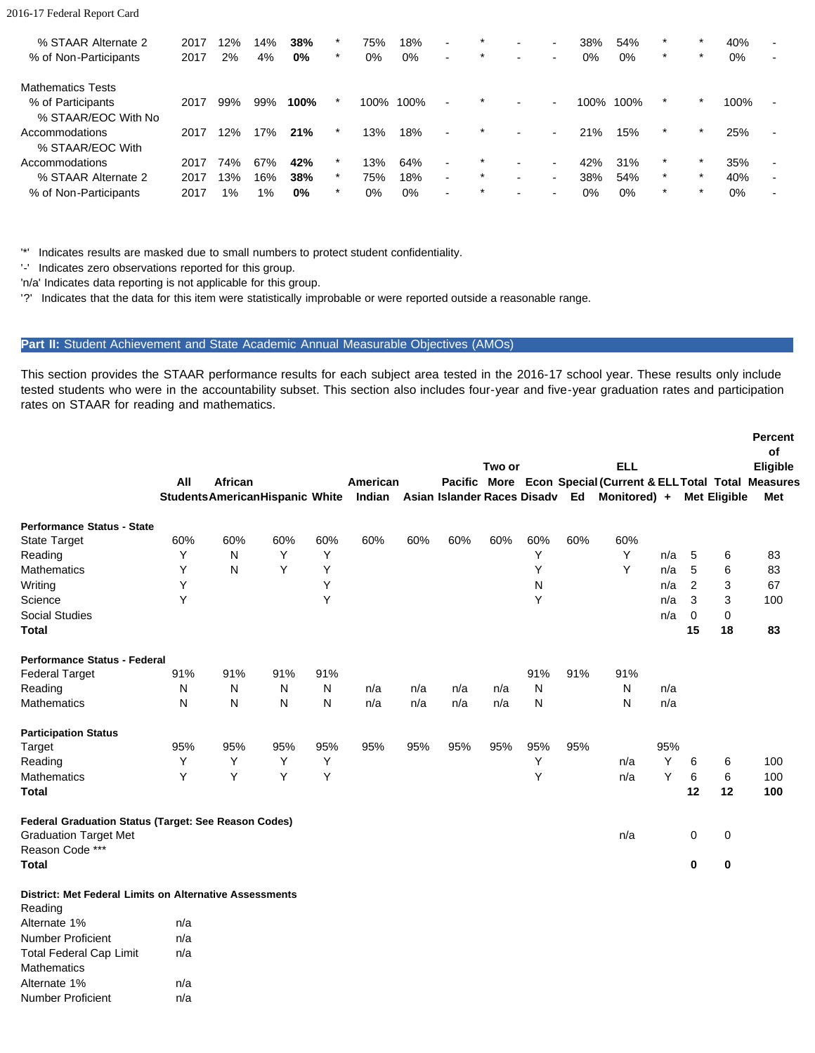#### 2016-17 Federal Report Card

| % STAAR Alternate 2<br>% of Non-Participants | 2017<br>2017 | 12%<br>2% | 14%<br>4% | 38%<br>$0\%$ | *<br>$\star$ | 75%<br>0% | 18%<br>$0\%$ | $\blacksquare$<br>$\blacksquare$ | $\star$<br>$\star$ |                          | $\blacksquare$<br>$\sim$ | 38%<br>$0\%$ | 54%<br>$0\%$ | $\star$<br>$\star$ | $\star$ | 40%<br>0% | $\overline{\phantom{0}}$ |
|----------------------------------------------|--------------|-----------|-----------|--------------|--------------|-----------|--------------|----------------------------------|--------------------|--------------------------|--------------------------|--------------|--------------|--------------------|---------|-----------|--------------------------|
| <b>Mathematics Tests</b>                     |              |           |           |              |              |           |              |                                  |                    |                          |                          |              |              |                    |         |           |                          |
| % of Participants                            | 2017         | 99%       | 99%       | 100%         | $\star$      | 100%      | 100%         | $\overline{\phantom{0}}$         | $\star$            | $\blacksquare$           | $\sim$                   | 100%         | 100%         | $\star$            | $\star$ | 100%      | ۰.                       |
| % STAAR/EOC With No                          |              |           |           |              |              |           |              |                                  |                    |                          |                          |              |              |                    |         |           |                          |
| Accommodations                               | 2017         | 12%       | 17%       | 21%          |              | 13%       | 18%          | $\overline{\phantom{a}}$         | $\star$            | $\overline{\phantom{0}}$ | $\sim$                   | 21%          | 15%          | $\star$            | $\star$ | 25%       | ۰.                       |
| % STAAR/EOC With                             |              |           |           |              |              |           |              |                                  |                    |                          |                          |              |              |                    |         |           |                          |
| Accommodations                               | 2017         | 74%       | 67%       | 42%          | $\star$      | 13%       | 64%          | $\blacksquare$                   | $\star$            | $\blacksquare$           | $\blacksquare$           | 42%          | 31%          |                    | $\star$ | 35%       | $\blacksquare$           |
| % STAAR Alternate 2                          | 2017         | 13%       | 16%       | 38%          | $\star$      | 75%       | 18%          | $\blacksquare$                   | $\star$            | $\overline{\phantom{0}}$ | $\sim$                   | 38%          | 54%          | $\star$            | *       | 40%       |                          |
| % of Non-Participants                        | 2017         | 1%        | 1%        | $0\%$        | $\star$      | 0%        | 0%           | $\overline{\phantom{0}}$         | $\star$            |                          |                          | 0%           | $0\%$        | $\star$            | $\star$ | $0\%$     | $\overline{\phantom{0}}$ |

'\*' Indicates results are masked due to small numbers to protect student confidentiality.

'-' Indicates zero observations reported for this group.

'n/a' Indicates data reporting is not applicable for this group.

'?' Indicates that the data for this item were statistically improbable or were reported outside a reasonable range.

#### Part II: Student Achievement and State Academic Annual Measurable Objectives (AMOs)

This section provides the STAAR performance results for each subject area tested in the 2016-17 school year. These results only include tested students who were in the accountability subset. This section also includes four-year and five-year graduation rates and participation rates on STAAR for reading and mathematics.

|                                                                |     |                                         |     |     |          |     |                | Two or |     |     | <b>ELL</b>                                            |     |          |                     | Percent<br>of<br>Eligible |
|----------------------------------------------------------------|-----|-----------------------------------------|-----|-----|----------|-----|----------------|--------|-----|-----|-------------------------------------------------------|-----|----------|---------------------|---------------------------|
|                                                                | All | African                                 |     |     | American |     | <b>Pacific</b> |        |     |     | More Econ Special (Current & ELL Total Total Measures |     |          |                     |                           |
|                                                                |     | <b>Students American Hispanic White</b> |     |     | Indian   |     |                |        |     |     | Asian Islander Races Disadv Ed Monitored) +           |     |          | <b>Met Eligible</b> | Met                       |
| <b>Performance Status - State</b>                              |     |                                         |     |     |          |     |                |        |     |     |                                                       |     |          |                     |                           |
| State Target                                                   | 60% | 60%                                     | 60% | 60% | 60%      | 60% | 60%            | 60%    | 60% | 60% | 60%                                                   |     |          |                     |                           |
| Reading                                                        | Y   | N                                       | Y   | Y   |          |     |                |        | Y   |     | Υ                                                     | n/a | 5        | 6                   | 83                        |
| Mathematics                                                    | Υ   | N                                       | Y   | Y   |          |     |                |        | Υ   |     | Y                                                     | n/a | 5        | 6                   | 83                        |
| Writing                                                        | Υ   |                                         |     | Υ   |          |     |                |        | N   |     |                                                       | n/a | 2        | 3                   | 67                        |
| Science                                                        | Υ   |                                         |     | Y   |          |     |                |        | Υ   |     |                                                       | n/a | 3        | 3                   | 100                       |
| <b>Social Studies</b>                                          |     |                                         |     |     |          |     |                |        |     |     |                                                       | n/a | $\Omega$ | 0                   |                           |
| <b>Total</b>                                                   |     |                                         |     |     |          |     |                |        |     |     |                                                       |     | 15       | 18                  | 83                        |
| Performance Status - Federal                                   |     |                                         |     |     |          |     |                |        |     |     |                                                       |     |          |                     |                           |
| <b>Federal Target</b>                                          | 91% | 91%                                     | 91% | 91% |          |     |                |        | 91% | 91% | 91%                                                   |     |          |                     |                           |
| Reading                                                        | N   | N                                       | N   | N   | n/a      | n/a | n/a            | n/a    | N   |     | Ν                                                     | n/a |          |                     |                           |
| <b>Mathematics</b>                                             | N   | N                                       | N   | N   | n/a      | n/a | n/a            | n/a    | N   |     | N                                                     | n/a |          |                     |                           |
| <b>Participation Status</b>                                    |     |                                         |     |     |          |     |                |        |     |     |                                                       |     |          |                     |                           |
| Target                                                         | 95% | 95%                                     | 95% | 95% | 95%      | 95% | 95%            | 95%    | 95% | 95% |                                                       | 95% |          |                     |                           |
| Reading                                                        | Y   | Υ                                       | Y   | Y   |          |     |                |        | Υ   |     | n/a                                                   | Y   | 6        | 6                   | 100                       |
| <b>Mathematics</b>                                             | Y   | Y                                       | Y   | Y   |          |     |                |        | Y   |     | n/a                                                   | Υ   | 6        | 6                   | 100                       |
| <b>Total</b>                                                   |     |                                         |     |     |          |     |                |        |     |     |                                                       |     | 12       | 12                  | 100                       |
| Federal Graduation Status (Target: See Reason Codes)           |     |                                         |     |     |          |     |                |        |     |     |                                                       |     |          |                     |                           |
| <b>Graduation Target Met</b>                                   |     |                                         |     |     |          |     |                |        |     |     | n/a                                                   |     | 0        | 0                   |                           |
| Reason Code ***                                                |     |                                         |     |     |          |     |                |        |     |     |                                                       |     |          |                     |                           |
| <b>Total</b>                                                   |     |                                         |     |     |          |     |                |        |     |     |                                                       |     | $\bf{0}$ | $\pmb{0}$           |                           |
| <b>District: Met Federal Limits on Alternative Assessments</b> |     |                                         |     |     |          |     |                |        |     |     |                                                       |     |          |                     |                           |
| Reading                                                        |     |                                         |     |     |          |     |                |        |     |     |                                                       |     |          |                     |                           |
| Alternate 1%                                                   | n/a |                                         |     |     |          |     |                |        |     |     |                                                       |     |          |                     |                           |
| Number Proficient                                              | n/a |                                         |     |     |          |     |                |        |     |     |                                                       |     |          |                     |                           |
| <b>Total Federal Cap Limit</b>                                 | n/a |                                         |     |     |          |     |                |        |     |     |                                                       |     |          |                     |                           |
| <b>Mathematics</b>                                             |     |                                         |     |     |          |     |                |        |     |     |                                                       |     |          |                     |                           |

Alternate 1% n/a Number Proficient n/a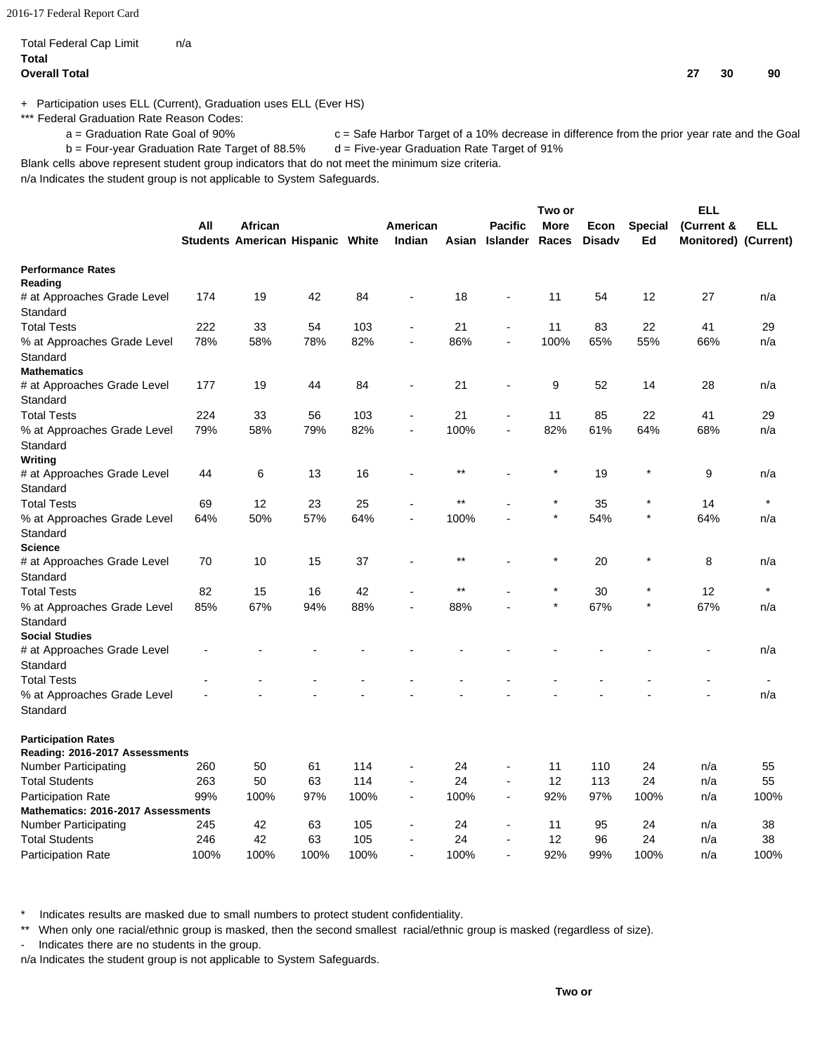2016-17 Federal Report Card

#### Total Federal Cap Limit n/a **Total Overall Total 27 30 90**

+ Participation uses ELL (Current), Graduation uses ELL (Ever HS)

\*\*\* Federal Graduation Rate Reason Codes:

a = Graduation Rate Goal of 90% c = Safe Harbor Target of a 10% decrease in difference from the prior year rate and the Goal

b = Four-year Graduation Rate Target of 88.5% d = Five-year Graduation Rate Target of 91%

Blank cells above represent student group indicators that do not meet the minimum size criteria.

n/a Indicates the student group is not applicable to System Safeguards.

|                                         |      |                                  |      |      |                          |       |                          | Two or      |               |                | <b>ELL</b>           |         |
|-----------------------------------------|------|----------------------------------|------|------|--------------------------|-------|--------------------------|-------------|---------------|----------------|----------------------|---------|
|                                         | All  | African                          |      |      | American                 |       | <b>Pacific</b>           | <b>More</b> | Econ          | <b>Special</b> | (Current &           | ELL     |
|                                         |      | Students American Hispanic White |      |      | Indian                   | Asian | Islander                 | Races       | <b>Disady</b> | Ed             | Monitored) (Current) |         |
| <b>Performance Rates</b>                |      |                                  |      |      |                          |       |                          |             |               |                |                      |         |
| Reading                                 |      |                                  |      |      |                          |       |                          |             |               |                |                      |         |
| # at Approaches Grade Level             | 174  | 19                               | 42   | 84   | $\blacksquare$           | 18    |                          | 11          | 54            | 12             | 27                   | n/a     |
| Standard                                |      |                                  |      |      |                          |       |                          |             |               |                |                      |         |
| <b>Total Tests</b>                      | 222  | 33                               | 54   | 103  |                          | 21    | $\overline{\phantom{a}}$ | 11          | 83            | 22             | 41                   | 29      |
| % at Approaches Grade Level<br>Standard | 78%  | 58%                              | 78%  | 82%  | L,                       | 86%   | $\overline{\phantom{a}}$ | 100%        | 65%           | 55%            | 66%                  | n/a     |
| <b>Mathematics</b>                      |      |                                  |      |      |                          |       |                          |             |               |                |                      |         |
| # at Approaches Grade Level             | 177  | 19                               | 44   | 84   | $\overline{a}$           | 21    | ÷                        | 9           | 52            | 14             | 28                   | n/a     |
| Standard                                |      |                                  |      |      |                          |       |                          |             |               |                |                      |         |
| <b>Total Tests</b>                      | 224  | 33                               | 56   | 103  |                          | 21    |                          | 11          | 85            | 22             | 41                   | 29      |
| % at Approaches Grade Level             | 79%  | 58%                              | 79%  | 82%  | $\blacksquare$           | 100%  | $\overline{a}$           | 82%         | 61%           | 64%            | 68%                  | n/a     |
| Standard                                |      |                                  |      |      |                          |       |                          |             |               |                |                      |         |
| Writing                                 |      |                                  |      |      |                          |       |                          |             |               |                |                      |         |
| # at Approaches Grade Level             | 44   | 6                                | 13   | 16   |                          | $***$ |                          |             | 19            | $\star$        | 9                    | n/a     |
| Standard                                |      |                                  |      |      |                          |       |                          |             |               |                |                      |         |
| <b>Total Tests</b>                      | 69   | 12                               | 23   | 25   |                          | **    |                          |             | 35            | $\star$        | 14                   | $\star$ |
| % at Approaches Grade Level             | 64%  | 50%                              | 57%  | 64%  | $\blacksquare$           | 100%  |                          | $\star$     | 54%           | $\star$        | 64%                  | n/a     |
| Standard                                |      |                                  |      |      |                          |       |                          |             |               |                |                      |         |
| <b>Science</b>                          |      |                                  |      |      |                          |       |                          |             |               |                |                      |         |
| # at Approaches Grade Level             | 70   | 10                               | 15   | 37   |                          | $***$ |                          |             | 20            | $\star$        | 8                    | n/a     |
| Standard                                |      |                                  |      |      |                          |       |                          |             |               |                |                      |         |
| <b>Total Tests</b>                      | 82   | 15                               | 16   | 42   |                          | **    |                          |             | 30            |                | 12                   |         |
| % at Approaches Grade Level             | 85%  | 67%                              | 94%  | 88%  |                          | 88%   |                          |             | 67%           | $\star$        | 67%                  | n/a     |
| Standard                                |      |                                  |      |      |                          |       |                          |             |               |                |                      |         |
| <b>Social Studies</b>                   |      |                                  |      |      |                          |       |                          |             |               |                |                      |         |
| # at Approaches Grade Level             |      |                                  |      |      |                          |       |                          |             |               |                |                      | n/a     |
| Standard                                |      |                                  |      |      |                          |       |                          |             |               |                |                      |         |
| <b>Total Tests</b>                      |      |                                  |      |      |                          |       |                          |             |               |                |                      |         |
| % at Approaches Grade Level             |      |                                  |      |      |                          |       |                          |             |               |                |                      | n/a     |
| Standard                                |      |                                  |      |      |                          |       |                          |             |               |                |                      |         |
| <b>Participation Rates</b>              |      |                                  |      |      |                          |       |                          |             |               |                |                      |         |
| Reading: 2016-2017 Assessments          |      |                                  |      |      |                          |       |                          |             |               |                |                      |         |
| Number Participating                    | 260  | 50                               | 61   | 114  |                          | 24    |                          | 11          | 110           | 24             | n/a                  | 55      |
| <b>Total Students</b>                   | 263  | 50                               | 63   | 114  |                          | 24    | $\blacksquare$           | 12          | 113           | 24             | n/a                  | 55      |
| <b>Participation Rate</b>               | 99%  | 100%                             | 97%  | 100% | $\overline{\phantom{a}}$ | 100%  | $\overline{\phantom{a}}$ | 92%         | 97%           | 100%           | n/a                  | 100%    |
| Mathematics: 2016-2017 Assessments      |      |                                  |      |      |                          |       |                          |             |               |                |                      |         |
| Number Participating                    | 245  | 42                               | 63   | 105  |                          | 24    |                          | 11          | 95            | 24             | n/a                  | 38      |
| <b>Total Students</b>                   | 246  | 42                               | 63   | 105  |                          | 24    |                          | 12          | 96            | 24             | n/a                  | 38      |
| <b>Participation Rate</b>               | 100% | 100%                             | 100% | 100% |                          | 100%  |                          | 92%         | 99%           | 100%           | n/a                  | 100%    |

Indicates results are masked due to small numbers to protect student confidentiality.

\*\* When only one racial/ethnic group is masked, then the second smallest racial/ethnic group is masked (regardless of size).

- Indicates there are no students in the group.

n/a Indicates the student group is not applicable to System Safeguards.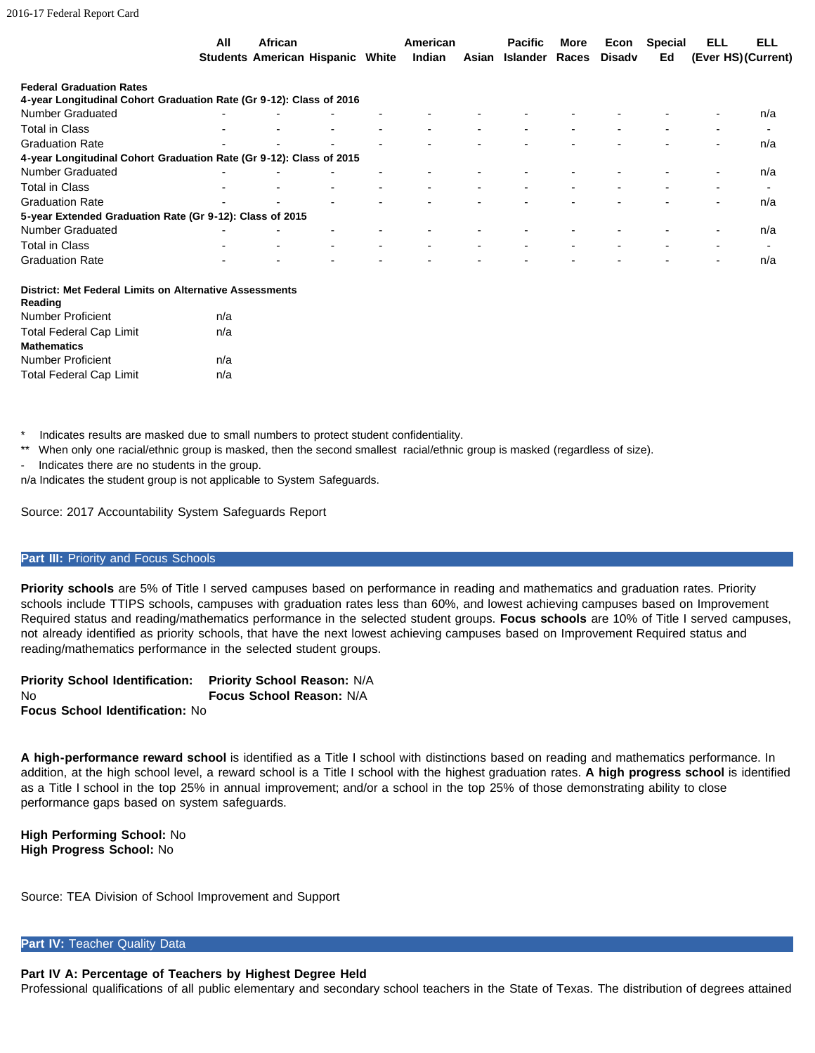|                                                                     | All | African                                 |                          | American |                          | <b>Pacific</b>       | More | Econ   | <b>Special</b> | ELL                      | <b>ELL</b>               |
|---------------------------------------------------------------------|-----|-----------------------------------------|--------------------------|----------|--------------------------|----------------------|------|--------|----------------|--------------------------|--------------------------|
|                                                                     |     | <b>Students American Hispanic White</b> |                          | Indian   |                          | Asian Islander Races |      | Disadv | Ed             |                          | (Ever HS) (Current)      |
| <b>Federal Graduation Rates</b>                                     |     |                                         |                          |          |                          |                      |      |        |                |                          |                          |
| 4-year Longitudinal Cohort Graduation Rate (Gr 9-12): Class of 2016 |     |                                         |                          |          |                          |                      |      |        |                |                          |                          |
| <b>Number Graduated</b>                                             |     |                                         |                          |          |                          |                      |      |        |                |                          | n/a                      |
| <b>Total in Class</b>                                               |     |                                         | $\overline{\phantom{0}}$ |          | $\overline{\phantom{0}}$ |                      |      |        |                |                          | $\overline{\phantom{0}}$ |
| <b>Graduation Rate</b>                                              |     |                                         |                          |          |                          |                      |      |        |                |                          | n/a                      |
| 4-year Longitudinal Cohort Graduation Rate (Gr 9-12): Class of 2015 |     |                                         |                          |          |                          |                      |      |        |                |                          |                          |
| <b>Number Graduated</b>                                             |     |                                         |                          |          |                          |                      |      |        |                |                          | n/a                      |
| <b>Total in Class</b>                                               |     |                                         | $\overline{\phantom{0}}$ |          |                          |                      |      |        |                |                          |                          |
| <b>Graduation Rate</b>                                              |     |                                         |                          |          |                          |                      |      |        |                |                          | n/a                      |
| 5-year Extended Graduation Rate (Gr 9-12): Class of 2015            |     |                                         |                          |          |                          |                      |      |        |                |                          |                          |
| <b>Number Graduated</b>                                             |     |                                         |                          |          |                          |                      |      |        |                |                          | n/a                      |
| <b>Total in Class</b>                                               |     |                                         | $\overline{\phantom{0}}$ |          |                          |                      |      |        |                |                          |                          |
| <b>Graduation Rate</b>                                              |     |                                         |                          |          |                          |                      |      |        |                | $\overline{\phantom{0}}$ | n/a                      |
|                                                                     |     |                                         |                          |          |                          |                      |      |        |                |                          |                          |

|         |  |  | District: Met Federal Limits on Alternative Assessments |
|---------|--|--|---------------------------------------------------------|
| Reading |  |  |                                                         |

| n/a |
|-----|
| n/a |
|     |
| n/a |
| n/a |
|     |

Indicates results are masked due to small numbers to protect student confidentiality.

\*\* When only one racial/ethnic group is masked, then the second smallest racial/ethnic group is masked (regardless of size).

- Indicates there are no students in the group.

n/a Indicates the student group is not applicable to System Safeguards.

Source: 2017 Accountability System Safeguards Report

#### **Part III: Priority and Focus Schools**

**Priority schools** are 5% of Title I served campuses based on performance in reading and mathematics and graduation rates. Priority schools include TTIPS schools, campuses with graduation rates less than 60%, and lowest achieving campuses based on Improvement Required status and reading/mathematics performance in the selected student groups. **Focus schools** are 10% of Title I served campuses, not already identified as priority schools, that have the next lowest achieving campuses based on Improvement Required status and reading/mathematics performance in the selected student groups.

**Priority School Identification:** No **Focus School Identification:** No **Priority School Reason:** N/A **Focus School Reason:** N/A

**A high-performance reward school** is identified as a Title I school with distinctions based on reading and mathematics performance. In addition, at the high school level, a reward school is a Title I school with the highest graduation rates. **A high progress school** is identified as a Title I school in the top 25% in annual improvement; and/or a school in the top 25% of those demonstrating ability to close performance gaps based on system safeguards.

**High Performing School:** No **High Progress School:** No

Source: TEA Division of School Improvement and Support

**Part IV: Teacher Quality Data** 

# **Part IV A: Percentage of Teachers by Highest Degree Held**

Professional qualifications of all public elementary and secondary school teachers in the State of Texas. The distribution of degrees attained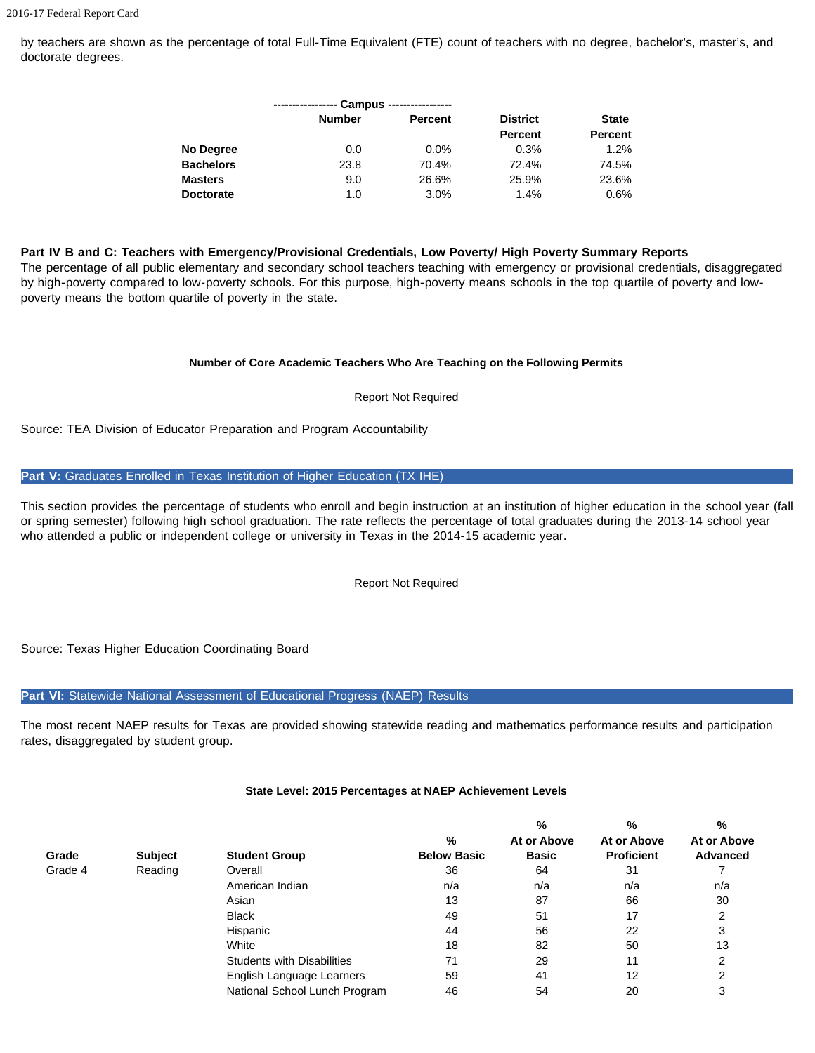by teachers are shown as the percentage of total Full-Time Equivalent (FTE) count of teachers with no degree, bachelor's, master's, and doctorate degrees.

|                  |               | Campus ----------------- |                 |                |
|------------------|---------------|--------------------------|-----------------|----------------|
|                  | <b>Number</b> | <b>Percent</b>           | <b>District</b> | <b>State</b>   |
|                  |               |                          | <b>Percent</b>  | <b>Percent</b> |
| No Degree        | 0.0           | $0.0\%$                  | 0.3%            | 1.2%           |
| <b>Bachelors</b> | 23.8          | 70.4%                    | 72.4%           | 74.5%          |
| <b>Masters</b>   | 9.0           | 26.6%                    | 25.9%           | 23.6%          |
| <b>Doctorate</b> | 1.0           | 3.0%                     | 1.4%            | $0.6\%$        |

#### **Part IV B and C: Teachers with Emergency/Provisional Credentials, Low Poverty/ High Poverty Summary Reports**

The percentage of all public elementary and secondary school teachers teaching with emergency or provisional credentials, disaggregated by high-poverty compared to low-poverty schools. For this purpose, high-poverty means schools in the top quartile of poverty and lowpoverty means the bottom quartile of poverty in the state.

#### **Number of Core Academic Teachers Who Are Teaching on the Following Permits**

Report Not Required

Source: TEA Division of Educator Preparation and Program Accountability

#### **Part V:** Graduates Enrolled in Texas Institution of Higher Education (TX IHE)

This section provides the percentage of students who enroll and begin instruction at an institution of higher education in the school year (fall or spring semester) following high school graduation. The rate reflects the percentage of total graduates during the 2013-14 school year who attended a public or independent college or university in Texas in the 2014-15 academic year.

Report Not Required

Source: Texas Higher Education Coordinating Board

## Part VI: Statewide National Assessment of Educational Progress (NAEP) Results

The most recent NAEP results for Texas are provided showing statewide reading and mathematics performance results and participation rates, disaggregated by student group.

|         |                |                                   |                    | %            | %                 | %               |
|---------|----------------|-----------------------------------|--------------------|--------------|-------------------|-----------------|
|         |                |                                   | %                  | At or Above  | At or Above       | At or Above     |
| Grade   | <b>Subject</b> | <b>Student Group</b>              | <b>Below Basic</b> | <b>Basic</b> | <b>Proficient</b> | <b>Advanced</b> |
| Grade 4 | Reading        | Overall                           | 36                 | 64           | 31                |                 |
|         |                | American Indian                   | n/a                | n/a          | n/a               | n/a             |
|         |                | Asian                             | 13                 | 87           | 66                | 30              |
|         |                | <b>Black</b>                      | 49                 | 51           | 17                | 2               |
|         |                | Hispanic                          | 44                 | 56           | 22                | 3               |
|         |                | White                             | 18                 | 82           | 50                | 13              |
|         |                | <b>Students with Disabilities</b> | 71                 | 29           | 11                | っ               |
|         |                | English Language Learners         | 59                 | 41           | 12                | າ               |
|         |                | National School Lunch Program     | 46                 | 54           | 20                | 3               |

## **State Level: 2015 Percentages at NAEP Achievement Levels**